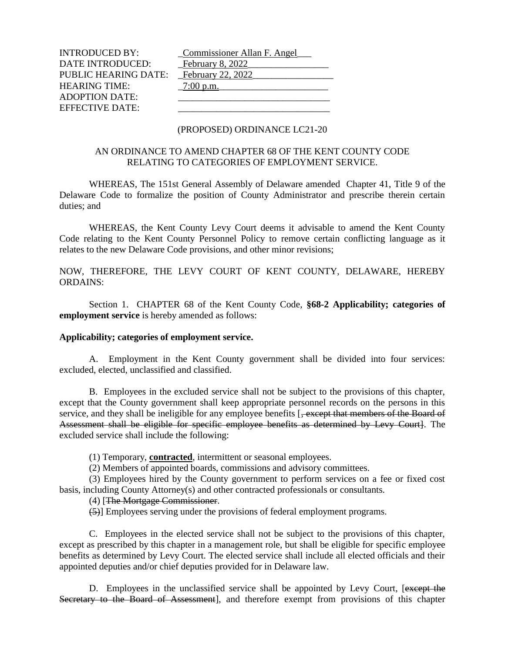INTRODUCED BY: Commissioner Allan F. Angel DATE INTRODUCED: February 8, 2022 PUBLIC HEARING DATE: February 22, 2022 HEARING TIME: \_7:00 p.m.\_\_\_\_\_\_\_\_\_\_\_\_\_\_\_\_\_\_\_\_\_\_\_ ADOPTION DATE: EFFECTIVE DATE:

#### (PROPOSED) ORDINANCE LC21-20

## AN ORDINANCE TO AMEND CHAPTER 68 OF THE KENT COUNTY CODE RELATING TO CATEGORIES OF EMPLOYMENT SERVICE.

WHEREAS, The 151st General Assembly of Delaware amended Chapter 41, Title 9 of the Delaware Code to formalize the position of County Administrator and prescribe therein certain duties; and

WHEREAS, the Kent County Levy Court deems it advisable to amend the Kent County Code relating to the Kent County Personnel Policy to remove certain conflicting language as it relates to the new Delaware Code provisions, and other minor revisions;

NOW, THEREFORE, THE LEVY COURT OF KENT COUNTY, DELAWARE, HEREBY ORDAINS:

Section 1. CHAPTER 68 of the Kent County Code, **§68-2 Applicability; categories of employment service** is hereby amended as follows:

#### **Applicability; categories of employment service.**

A. Employment in the Kent County government shall be divided into four services: excluded, elected, unclassified and classified.

B. Employees in the excluded service shall not be subject to the provisions of this chapter, except that the County government shall keep appropriate personnel records on the persons in this service, and they shall be ineligible for any employee benefits [, except that members of the Board of Assessment shall be eligible for specific employee benefits as determined by Levy Courtl. The excluded service shall include the following:

(1) Temporary, **contracted**, intermittent or seasonal employees.

(2) Members of appointed boards, commissions and advisory committees.

(3) Employees hired by the County government to perform services on a fee or fixed cost basis, including County Attorney(s) and other contracted professionals or consultants.

## (4) [The Mortgage Commissioner.

(5)] Employees serving under the provisions of federal employment programs.

C. Employees in the elected service shall not be subject to the provisions of this chapter, except as prescribed by this chapter in a management role, but shall be eligible for specific employee benefits as determined by Levy Court. The elected service shall include all elected officials and their appointed deputies and/or chief deputies provided for in Delaware law.

D. Employees in the unclassified service shall be appointed by Levy Court, [except the Secretary to the Board of Assessment], and therefore exempt from provisions of this chapter